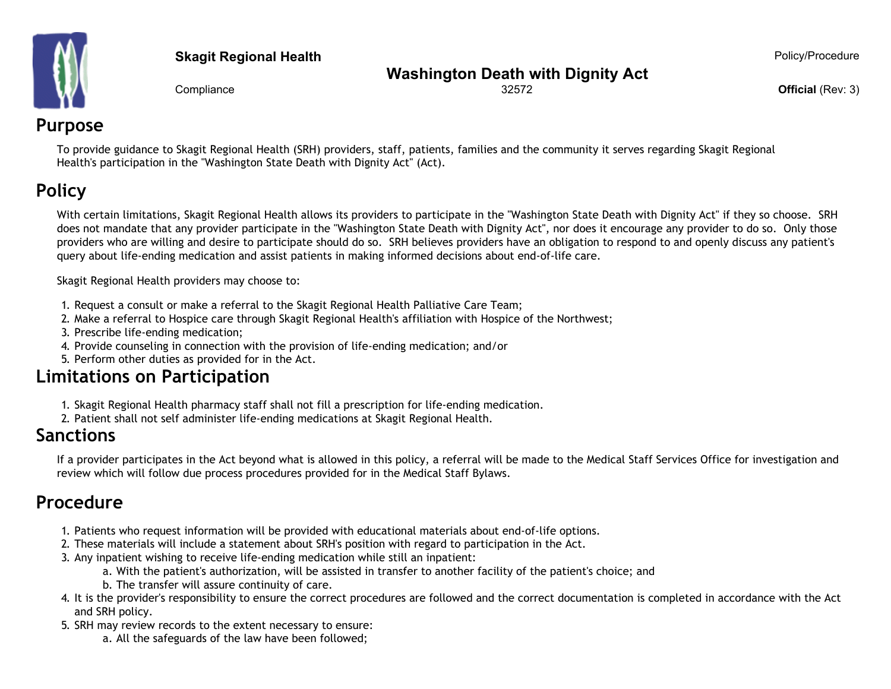

#### **Skagit Regional Health Policy/Procedure Policy/Procedure Policy/Procedure**

#### **Washington Death with Dignity Act**

**Compliance Official** (Rev: 3) **Official** (Rev: 3) **Official** (Rev: 3)

## **Purpose**

To provide guidance to Skagit Regional Health (SRH) providers, staff, patients, families and the community it serves regarding Skagit Regional Health's participation in the "Washington State Death with Dignity Act" (Act).

# **Policy**

With certain limitations, Skagit Regional Health allows its providers to participate in the "Washington State Death with Dignity Act" if they so choose. SRH does not mandate that any provider participate in the "Washington State Death with Dignity Act", nor does it encourage any provider to do so. Only those providers who are willing and desire to participate should do so. SRH believes providers have an obligation to respond to and openly discuss any patient's query about life-ending medication and assist patients in making informed decisions about end-of-life care.

Skagit Regional Health providers may choose to:

- 1. Request a consult or make a referral to the Skagit Regional Health Palliative Care Team;
- 2. Make a referral to Hospice care through Skagit Regional Health's affiliation with Hospice of the Northwest;
- 3. Prescribe life-ending medication;
- 4. Provide counseling in connection with the provision of life-ending medication; and/or
- 5. Perform other duties as provided for in the Act.

## **Limitations on Participation**

- 1. Skagit Regional Health pharmacy staff shall not fill a prescription for life-ending medication.
- 2. Patient shall not self administer life-ending medications at Skagit Regional Health.

## **Sanctions**

If a provider participates in the Act beyond what is allowed in this policy, a referral will be made to the Medical Staff Services Office for investigation and review which will follow due process procedures provided for in the Medical Staff Bylaws.

## **Procedure**

- 1. Patients who request information will be provided with educational materials about end-of-life options.
- 2. These materials will include a statement about SRH's position with regard to participation in the Act.
- 3. Any inpatient wishing to receive life-ending medication while still an inpatient:
	- a. With the patient's authorization, will be assisted in transfer to another facility of the patient's choice; and
	- b. The transfer will assure continuity of care.
- 4. It is the provider's responsibility to ensure the correct procedures are followed and the correct documentation is completed in accordance with the Act and SRH policy.
- 5. SRH may review records to the extent necessary to ensure:

a. All the safeguards of the law have been followed;